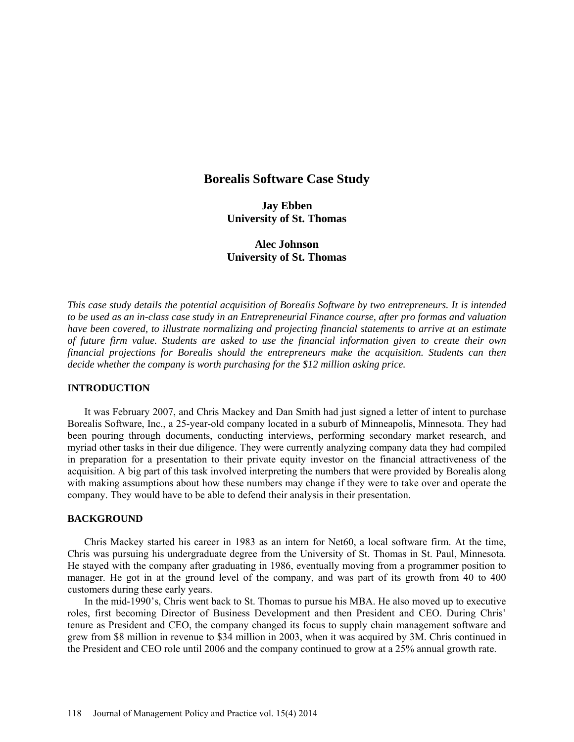# **Borealis Software Case Study**

**Jay Ebben University of St. Thomas** 

**Alec Johnson University of St. Thomas** 

*This case study details the potential acquisition of Borealis Software by two entrepreneurs. It is intended to be used as an in-class case study in an Entrepreneurial Finance course, after pro formas and valuation have been covered, to illustrate normalizing and projecting financial statements to arrive at an estimate of future firm value. Students are asked to use the financial information given to create their own financial projections for Borealis should the entrepreneurs make the acquisition. Students can then decide whether the company is worth purchasing for the \$12 million asking price.*

### **INTRODUCTION**

It was February 2007, and Chris Mackey and Dan Smith had just signed a letter of intent to purchase Borealis Software, Inc., a 25-year-old company located in a suburb of Minneapolis, Minnesota. They had been pouring through documents, conducting interviews, performing secondary market research, and myriad other tasks in their due diligence. They were currently analyzing company data they had compiled in preparation for a presentation to their private equity investor on the financial attractiveness of the acquisition. A big part of this task involved interpreting the numbers that were provided by Borealis along with making assumptions about how these numbers may change if they were to take over and operate the company. They would have to be able to defend their analysis in their presentation.

### **BACKGROUND**

Chris Mackey started his career in 1983 as an intern for Net60, a local software firm. At the time, Chris was pursuing his undergraduate degree from the University of St. Thomas in St. Paul, Minnesota. He stayed with the company after graduating in 1986, eventually moving from a programmer position to manager. He got in at the ground level of the company, and was part of its growth from 40 to 400 customers during these early years.

In the mid-1990's, Chris went back to St. Thomas to pursue his MBA. He also moved up to executive roles, first becoming Director of Business Development and then President and CEO. During Chris' tenure as President and CEO, the company changed its focus to supply chain management software and grew from \$8 million in revenue to \$34 million in 2003, when it was acquired by 3M. Chris continued in the President and CEO role until 2006 and the company continued to grow at a 25% annual growth rate.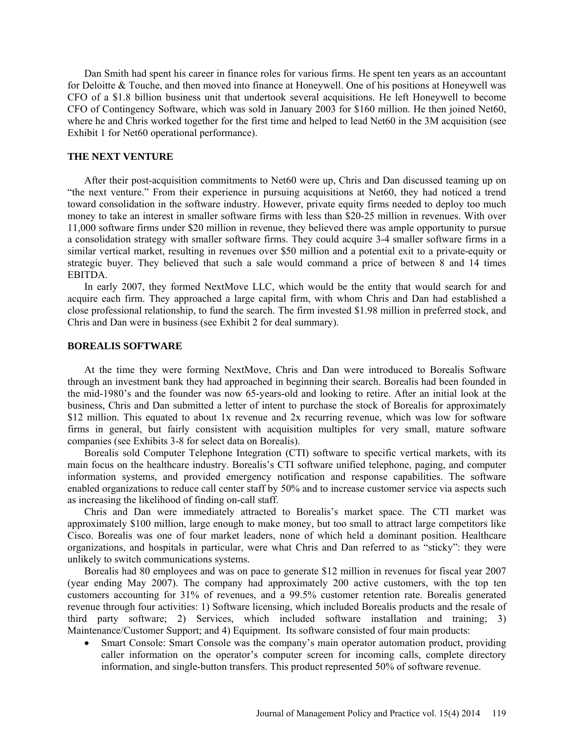Dan Smith had spent his career in finance roles for various firms. He spent ten years as an accountant for Deloitte & Touche, and then moved into finance at Honeywell. One of his positions at Honeywell was CFO of a \$1.8 billion business unit that undertook several acquisitions. He left Honeywell to become CFO of Contingency Software, which was sold in January 2003 for \$160 million. He then joined Net60, where he and Chris worked together for the first time and helped to lead Net60 in the 3M acquisition (see Exhibit 1 for Net60 operational performance).

### **THE NEXT VENTURE**

After their post-acquisition commitments to Net60 were up, Chris and Dan discussed teaming up on "the next venture." From their experience in pursuing acquisitions at Net60, they had noticed a trend toward consolidation in the software industry. However, private equity firms needed to deploy too much money to take an interest in smaller software firms with less than \$20-25 million in revenues. With over 11,000 software firms under \$20 million in revenue, they believed there was ample opportunity to pursue a consolidation strategy with smaller software firms. They could acquire 3-4 smaller software firms in a similar vertical market, resulting in revenues over \$50 million and a potential exit to a private-equity or strategic buyer. They believed that such a sale would command a price of between 8 and 14 times EBITDA.

In early 2007, they formed NextMove LLC, which would be the entity that would search for and acquire each firm. They approached a large capital firm, with whom Chris and Dan had established a close professional relationship, to fund the search. The firm invested \$1.98 million in preferred stock, and Chris and Dan were in business (see Exhibit 2 for deal summary).

#### **BOREALIS SOFTWARE**

At the time they were forming NextMove, Chris and Dan were introduced to Borealis Software through an investment bank they had approached in beginning their search. Borealis had been founded in the mid-1980's and the founder was now 65-years-old and looking to retire. After an initial look at the business, Chris and Dan submitted a letter of intent to purchase the stock of Borealis for approximately \$12 million. This equated to about 1x revenue and 2x recurring revenue, which was low for software firms in general, but fairly consistent with acquisition multiples for very small, mature software companies (see Exhibits 3-8 for select data on Borealis).

Borealis sold Computer Telephone Integration (CTI) software to specific vertical markets, with its main focus on the healthcare industry. Borealis's CTI software unified telephone, paging, and computer information systems, and provided emergency notification and response capabilities. The software enabled organizations to reduce call center staff by 50% and to increase customer service via aspects such as increasing the likelihood of finding on-call staff.

Chris and Dan were immediately attracted to Borealis's market space. The CTI market was approximately \$100 million, large enough to make money, but too small to attract large competitors like Cisco. Borealis was one of four market leaders, none of which held a dominant position. Healthcare organizations, and hospitals in particular, were what Chris and Dan referred to as "sticky": they were unlikely to switch communications systems.

Borealis had 80 employees and was on pace to generate \$12 million in revenues for fiscal year 2007 (year ending May 2007). The company had approximately 200 active customers, with the top ten customers accounting for 31% of revenues, and a 99.5% customer retention rate. Borealis generated revenue through four activities: 1) Software licensing, which included Borealis products and the resale of third party software; 2) Services, which included software installation and training; 3) Maintenance/Customer Support; and 4) Equipment. Its software consisted of four main products:

• Smart Console: Smart Console was the company's main operator automation product, providing caller information on the operator's computer screen for incoming calls, complete directory information, and single-button transfers. This product represented 50% of software revenue.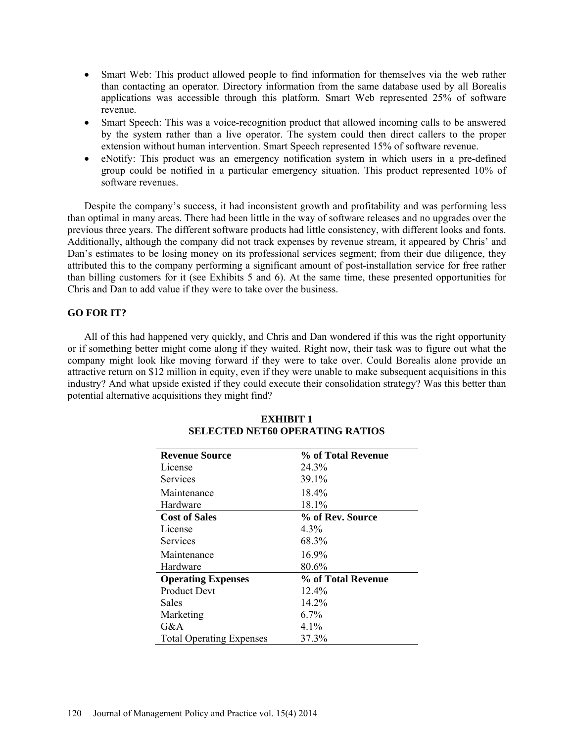- Smart Web: This product allowed people to find information for themselves via the web rather than contacting an operator. Directory information from the same database used by all Borealis applications was accessible through this platform. Smart Web represented 25% of software revenue.
- Smart Speech: This was a voice-recognition product that allowed incoming calls to be answered by the system rather than a live operator. The system could then direct callers to the proper extension without human intervention. Smart Speech represented 15% of software revenue.
- eNotify: This product was an emergency notification system in which users in a pre-defined group could be notified in a particular emergency situation. This product represented 10% of software revenues.

Despite the company's success, it had inconsistent growth and profitability and was performing less than optimal in many areas. There had been little in the way of software releases and no upgrades over the previous three years. The different software products had little consistency, with different looks and fonts. Additionally, although the company did not track expenses by revenue stream, it appeared by Chris' and Dan's estimates to be losing money on its professional services segment; from their due diligence, they attributed this to the company performing a significant amount of post-installation service for free rather than billing customers for it (see Exhibits 5 and 6). At the same time, these presented opportunities for Chris and Dan to add value if they were to take over the business.

### **GO FOR IT?**

All of this had happened very quickly, and Chris and Dan wondered if this was the right opportunity or if something better might come along if they waited. Right now, their task was to figure out what the company might look like moving forward if they were to take over. Could Borealis alone provide an attractive return on \$12 million in equity, even if they were unable to make subsequent acquisitions in this industry? And what upside existed if they could execute their consolidation strategy? Was this better than potential alternative acquisitions they might find?

| <b>Revenue Source</b>           | % of Total Revenue |
|---------------------------------|--------------------|
| License                         | 24.3%              |
| Services                        | 39.1%              |
| Maintenance                     | 18.4%              |
| Hardware                        | 18.1%              |
| <b>Cost of Sales</b>            | % of Rev. Source   |
| License                         | $4.3\%$            |
| Services                        | 68.3%              |
| Maintenance                     | $16.9\%$           |
| Hardware                        | 80.6%              |
| <b>Operating Expenses</b>       | % of Total Revenue |
| <b>Product Devt</b>             | $12.4\%$           |
| Sales                           | 14.2%              |
| Marketing                       | $6.7\%$            |
| G&A                             | 4.1%               |
| <b>Total Operating Expenses</b> | 37.3%              |

# **EXHIBIT 1 SELECTED NET60 OPERATING RATIOS**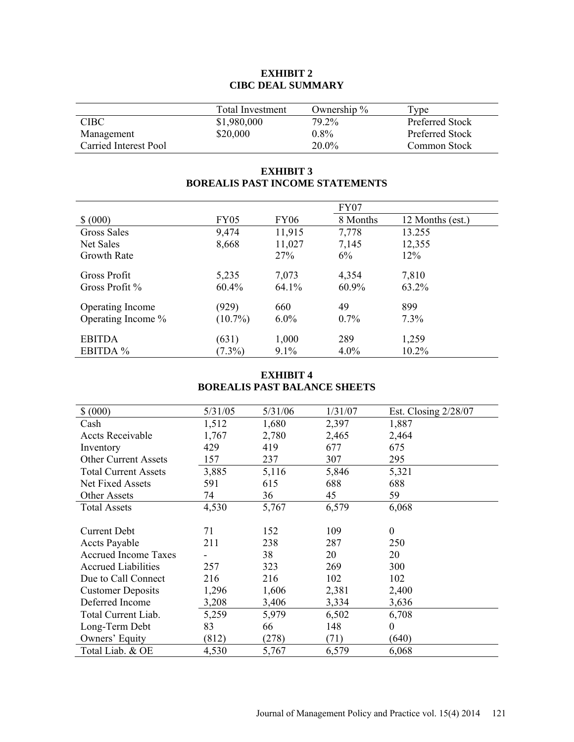# **EXHIBIT 2 CIBC DEAL SUMMARY**

|                       | <b>Total Investment</b> | Ownership $\%$ | Type                |
|-----------------------|-------------------------|----------------|---------------------|
| <b>CIBC</b>           | \$1,980,000             | 79.2%          | Preferred Stock     |
| Management            | \$20,000                | $0.8\%$        | Preferred Stock     |
| Carried Interest Pool |                         | $20.0\%$       | <b>Common Stock</b> |

# **EXHIBIT 3 BOREALIS PAST INCOME STATEMENTS**

|                    |             |             | <b>FY07</b> |                  |  |
|--------------------|-------------|-------------|-------------|------------------|--|
| \$ (000)           | <b>FY05</b> | <b>FY06</b> | 8 Months    | 12 Months (est.) |  |
| Gross Sales        | 9,474       | 11,915      | 7,778       | 13.255           |  |
| Net Sales          | 8,668       | 11,027      | 7,145       | 12,355           |  |
| Growth Rate        |             | 27%         | $6\%$       | 12%              |  |
| Gross Profit       | 5,235       | 7,073       | 4,354       | 7,810            |  |
| Gross Profit %     | $60.4\%$    | 64.1%       | 60.9%       | 63.2%            |  |
| Operating Income   | (929)       | 660         | 49          | 899              |  |
| Operating Income % | $(10.7\%)$  | $6.0\%$     | 0.7%        | 7.3%             |  |
| <b>EBITDA</b>      | (631)       | 1,000       | 289         | 1,259            |  |
| EBITDA %           | $(7.3\%)$   | $9.1\%$     | $4.0\%$     | $10.2\%$         |  |

## **EXHIBIT 4 BOREALIS PAST BALANCE SHEETS**

| 5/31/05 | 5/31/06 | 1/31/07 | Est. Closing $2/28/07$ |
|---------|---------|---------|------------------------|
| 1,512   | 1,680   | 2,397   | 1,887                  |
| 1,767   | 2,780   | 2,465   | 2,464                  |
| 429     | 419     | 677     | 675                    |
| 157     | 237     | 307     | 295                    |
| 3,885   | 5,116   | 5,846   | 5,321                  |
| 591     | 615     | 688     | 688                    |
| 74      | 36      | 45      | 59                     |
| 4,530   | 5,767   | 6,579   | 6,068                  |
|         |         |         |                        |
| 71      | 152     | 109     | $\overline{0}$         |
| 211     | 238     | 287     | 250                    |
|         | 38      | 20      | 20                     |
| 257     | 323     | 269     | 300                    |
| 216     | 216     | 102     | 102                    |
| 1,296   | 1,606   | 2,381   | 2,400                  |
| 3,208   | 3,406   | 3,334   | 3,636                  |
| 5,259   | 5,979   | 6,502   | 6,708                  |
| 83      | 66      | 148     | $\theta$               |
| (812)   | (278)   | (71)    | (640)                  |
| 4,530   | 5,767   | 6,579   | 6,068                  |
|         |         |         |                        |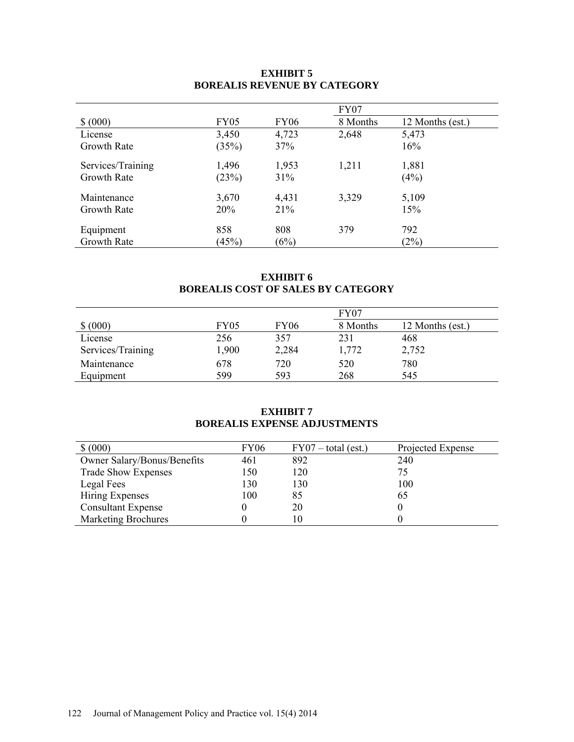# **EXHIBIT 5 BOREALIS REVENUE BY CATEGORY**

|                    |             |             | FY07     |                  |
|--------------------|-------------|-------------|----------|------------------|
| \$ (000)           | <b>FY05</b> | <b>FY06</b> | 8 Months | 12 Months (est.) |
| License            | 3,450       | 4,723       | 2,648    | 5,473            |
| <b>Growth Rate</b> | (35%)       | 37%         |          | 16%              |
| Services/Training  | 1,496       | 1,953       | 1,211    | 1,881            |
| <b>Growth Rate</b> | (23%)       | 31%         |          | (4%)             |
| Maintenance        | 3,670       | 4,431       | 3,329    | 5,109            |
| <b>Growth Rate</b> | 20%         | 21%         |          | 15%              |
| Equipment          | 858         | 808         | 379      | 792              |
| Growth Rate        | (45%)       | (6%)        |          | (2%)             |

## **EXHIBIT 6 BOREALIS COST OF SALES BY CATEGORY**

|                   |             |             | FY07     |                  |
|-------------------|-------------|-------------|----------|------------------|
| \$ (000)          | <b>FY05</b> | <b>FY06</b> | 8 Months | 12 Months (est.) |
| License           | 256         | 357         | 231      | 468              |
| Services/Training | 1,900       | 2,284       | 1,772    | 2,752            |
| Maintenance       | 678         | 720         | 520      | 780              |
| Equipment         | 599         | 593         | 268      | 545              |

### **EXHIBIT 7 BOREALIS EXPENSE ADJUSTMENTS**

| \$ (000)                    | FY <sub>06</sub> | $FY07 - total (est.)$ | Projected Expense |
|-----------------------------|------------------|-----------------------|-------------------|
| Owner Salary/Bonus/Benefits | 461              | 892                   | 240               |
| <b>Trade Show Expenses</b>  | 150              | 120                   | 75                |
| Legal Fees                  | 130              | 130                   | 100               |
| Hiring Expenses             | 100              | 85                    | 65                |
| <b>Consultant Expense</b>   |                  | 20                    |                   |
| <b>Marketing Brochures</b>  |                  | 10                    |                   |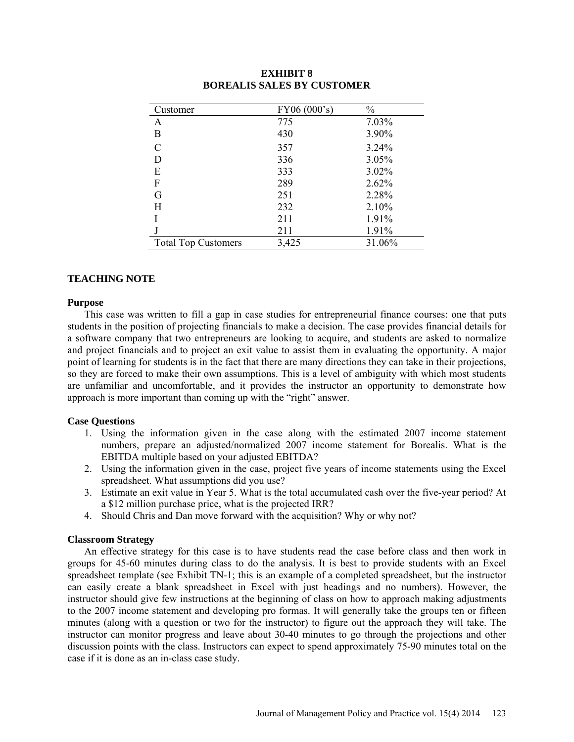| Customer                   | FY06(000's) | $\frac{0}{0}$ |
|----------------------------|-------------|---------------|
| А                          | 775         | 7.03%         |
| Β                          | 430         | 3.90%         |
| $\overline{C}$             | 357         | 3.24%         |
| D                          | 336         | 3.05%         |
| E                          | 333         | 3.02%         |
| F                          | 289         | 2.62%         |
| G                          | 251         | 2.28%         |
| H                          | 232         | 2.10%         |
|                            | 211         | 1.91%         |
|                            | 211         | 1.91%         |
| <b>Total Top Customers</b> | 3,425       | 31.06%        |

## **EXHIBIT 8 BOREALIS SALES BY CUSTOMER**

## **TEACHING NOTE**

#### **Purpose**

This case was written to fill a gap in case studies for entrepreneurial finance courses: one that puts students in the position of projecting financials to make a decision. The case provides financial details for a software company that two entrepreneurs are looking to acquire, and students are asked to normalize and project financials and to project an exit value to assist them in evaluating the opportunity. A major point of learning for students is in the fact that there are many directions they can take in their projections, so they are forced to make their own assumptions. This is a level of ambiguity with which most students are unfamiliar and uncomfortable, and it provides the instructor an opportunity to demonstrate how approach is more important than coming up with the "right" answer.

### **Case Questions**

- 1. Using the information given in the case along with the estimated 2007 income statement numbers, prepare an adjusted/normalized 2007 income statement for Borealis. What is the EBITDA multiple based on your adjusted EBITDA?
- 2. Using the information given in the case, project five years of income statements using the Excel spreadsheet. What assumptions did you use?
- 3. Estimate an exit value in Year 5. What is the total accumulated cash over the five-year period? At a \$12 million purchase price, what is the projected IRR?
- 4. Should Chris and Dan move forward with the acquisition? Why or why not?

### **Classroom Strategy**

An effective strategy for this case is to have students read the case before class and then work in groups for 45-60 minutes during class to do the analysis. It is best to provide students with an Excel spreadsheet template (see Exhibit TN-1; this is an example of a completed spreadsheet, but the instructor can easily create a blank spreadsheet in Excel with just headings and no numbers). However, the instructor should give few instructions at the beginning of class on how to approach making adjustments to the 2007 income statement and developing pro formas. It will generally take the groups ten or fifteen minutes (along with a question or two for the instructor) to figure out the approach they will take. The instructor can monitor progress and leave about 30-40 minutes to go through the projections and other discussion points with the class. Instructors can expect to spend approximately 75-90 minutes total on the case if it is done as an in-class case study.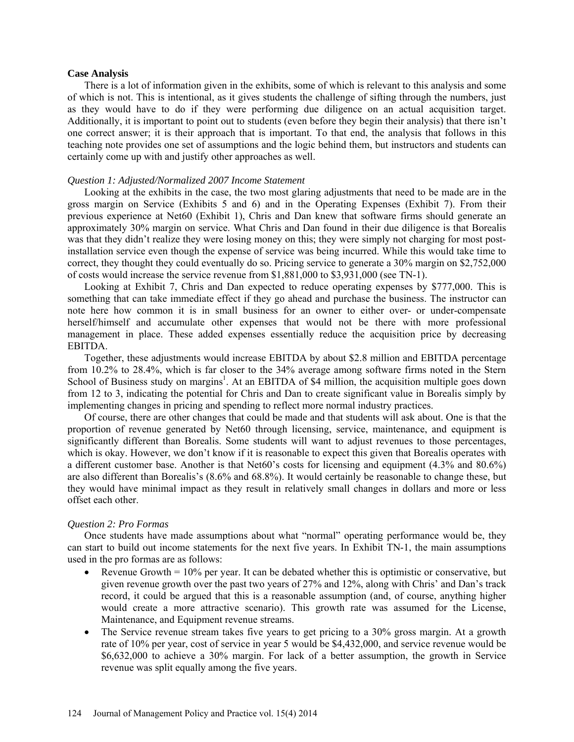#### **Case Analysis**

There is a lot of information given in the exhibits, some of which is relevant to this analysis and some of which is not. This is intentional, as it gives students the challenge of sifting through the numbers, just as they would have to do if they were performing due diligence on an actual acquisition target. Additionally, it is important to point out to students (even before they begin their analysis) that there isn't one correct answer; it is their approach that is important. To that end, the analysis that follows in this teaching note provides one set of assumptions and the logic behind them, but instructors and students can certainly come up with and justify other approaches as well.

### *Question 1: Adjusted/Normalized 2007 Income Statement*

Looking at the exhibits in the case, the two most glaring adjustments that need to be made are in the gross margin on Service (Exhibits 5 and 6) and in the Operating Expenses (Exhibit 7). From their previous experience at Net60 (Exhibit 1), Chris and Dan knew that software firms should generate an approximately 30% margin on service. What Chris and Dan found in their due diligence is that Borealis was that they didn't realize they were losing money on this; they were simply not charging for most postinstallation service even though the expense of service was being incurred. While this would take time to correct, they thought they could eventually do so. Pricing service to generate a 30% margin on \$2,752,000 of costs would increase the service revenue from \$1,881,000 to \$3,931,000 (see TN-1).

Looking at Exhibit 7, Chris and Dan expected to reduce operating expenses by \$777,000. This is something that can take immediate effect if they go ahead and purchase the business. The instructor can note here how common it is in small business for an owner to either over- or under-compensate herself/himself and accumulate other expenses that would not be there with more professional management in place. These added expenses essentially reduce the acquisition price by decreasing EBITDA.

Together, these adjustments would increase EBITDA by about \$2.8 million and EBITDA percentage from 10.2% to 28.4%, which is far closer to the 34% average among software firms noted in the Stern School of Business study on margins<sup>1</sup>. At an EBITDA of \$4 million, the acquisition multiple goes down from 12 to 3, indicating the potential for Chris and Dan to create significant value in Borealis simply by implementing changes in pricing and spending to reflect more normal industry practices.

Of course, there are other changes that could be made and that students will ask about. One is that the proportion of revenue generated by Net60 through licensing, service, maintenance, and equipment is significantly different than Borealis. Some students will want to adjust revenues to those percentages, which is okay. However, we don't know if it is reasonable to expect this given that Borealis operates with a different customer base. Another is that Net60's costs for licensing and equipment (4.3% and 80.6%) are also different than Borealis's (8.6% and 68.8%). It would certainly be reasonable to change these, but they would have minimal impact as they result in relatively small changes in dollars and more or less offset each other.

#### *Question 2: Pro Formas*

Once students have made assumptions about what "normal" operating performance would be, they can start to build out income statements for the next five years. In Exhibit TN-1, the main assumptions used in the pro formas are as follows:

- Revenue Growth  $= 10\%$  per year. It can be debated whether this is optimistic or conservative, but given revenue growth over the past two years of 27% and 12%, along with Chris' and Dan's track record, it could be argued that this is a reasonable assumption (and, of course, anything higher would create a more attractive scenario). This growth rate was assumed for the License, Maintenance, and Equipment revenue streams.
- The Service revenue stream takes five years to get pricing to a 30% gross margin. At a growth rate of 10% per year, cost of service in year 5 would be \$4,432,000, and service revenue would be \$6,632,000 to achieve a 30% margin. For lack of a better assumption, the growth in Service revenue was split equally among the five years.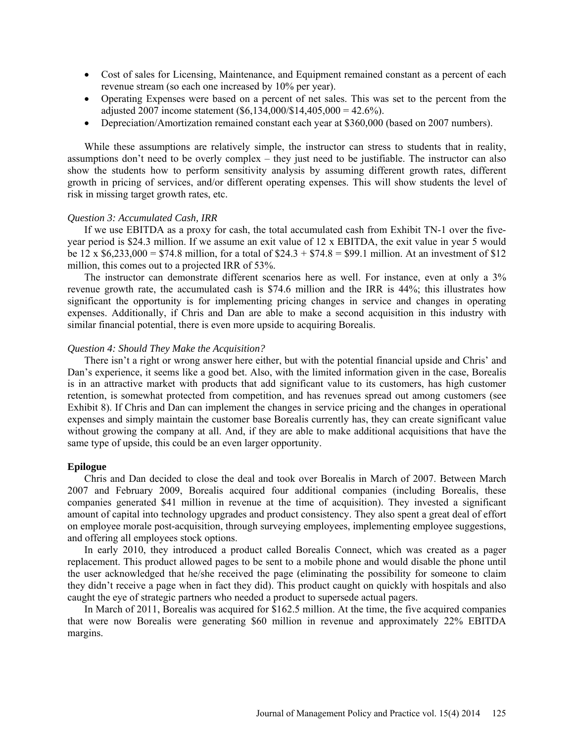- Cost of sales for Licensing, Maintenance, and Equipment remained constant as a percent of each revenue stream (so each one increased by 10% per year).
- Operating Expenses were based on a percent of net sales. This was set to the percent from the adjusted 2007 income statement  $(\$6,134,000/\$14,405,000 = 42.6\%$ ).
- Depreciation/Amortization remained constant each year at \$360,000 (based on 2007 numbers).

While these assumptions are relatively simple, the instructor can stress to students that in reality, assumptions don't need to be overly complex – they just need to be justifiable. The instructor can also show the students how to perform sensitivity analysis by assuming different growth rates, different growth in pricing of services, and/or different operating expenses. This will show students the level of risk in missing target growth rates, etc.

#### *Question 3: Accumulated Cash, IRR*

If we use EBITDA as a proxy for cash, the total accumulated cash from Exhibit TN-1 over the fiveyear period is \$24.3 million. If we assume an exit value of 12 x EBITDA, the exit value in year 5 would be  $12 \times $6,233,000 = $74.8 \text{ million}$ , for a total of  $$24.3 + $74.8 = $99.1 \text{ million}$ . At an investment of \$12 million, this comes out to a projected IRR of 53%.

The instructor can demonstrate different scenarios here as well. For instance, even at only a 3% revenue growth rate, the accumulated cash is \$74.6 million and the IRR is 44%; this illustrates how significant the opportunity is for implementing pricing changes in service and changes in operating expenses. Additionally, if Chris and Dan are able to make a second acquisition in this industry with similar financial potential, there is even more upside to acquiring Borealis.

#### *Question 4: Should They Make the Acquisition?*

There isn't a right or wrong answer here either, but with the potential financial upside and Chris' and Dan's experience, it seems like a good bet. Also, with the limited information given in the case, Borealis is in an attractive market with products that add significant value to its customers, has high customer retention, is somewhat protected from competition, and has revenues spread out among customers (see Exhibit 8). If Chris and Dan can implement the changes in service pricing and the changes in operational expenses and simply maintain the customer base Borealis currently has, they can create significant value without growing the company at all. And, if they are able to make additional acquisitions that have the same type of upside, this could be an even larger opportunity.

#### **Epilogue**

Chris and Dan decided to close the deal and took over Borealis in March of 2007. Between March 2007 and February 2009, Borealis acquired four additional companies (including Borealis, these companies generated \$41 million in revenue at the time of acquisition). They invested a significant amount of capital into technology upgrades and product consistency. They also spent a great deal of effort on employee morale post-acquisition, through surveying employees, implementing employee suggestions, and offering all employees stock options.

In early 2010, they introduced a product called Borealis Connect, which was created as a pager replacement. This product allowed pages to be sent to a mobile phone and would disable the phone until the user acknowledged that he/she received the page (eliminating the possibility for someone to claim they didn't receive a page when in fact they did). This product caught on quickly with hospitals and also caught the eye of strategic partners who needed a product to supersede actual pagers.

In March of 2011, Borealis was acquired for \$162.5 million. At the time, the five acquired companies that were now Borealis were generating \$60 million in revenue and approximately 22% EBITDA margins.